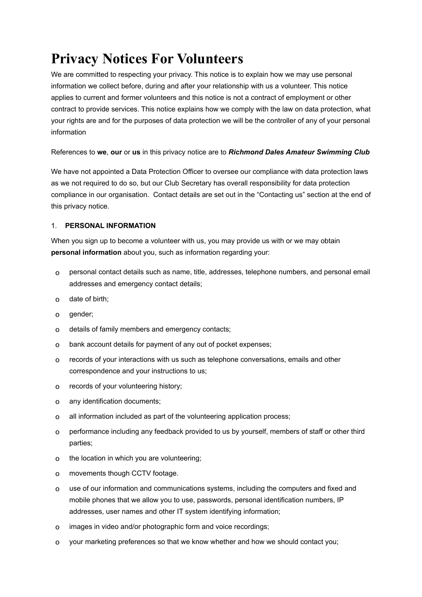# **Privacy Notices For Volunteers**

We are committed to respecting your privacy. This notice is to explain how we may use personal information we collect before, during and after your relationship with us a volunteer. This notice applies to current and former volunteers and this notice is not a contract of employment or other contract to provide services. This notice explains how we comply with the law on data protection, what your rights are and for the purposes of data protection we will be the controller of any of your personal information

References to **we**, **our** or **us** in this privacy notice are to *Richmond Dales Amateur Swimming Club*

We have not appointed a Data Protection Officer to oversee our compliance with data protection laws as we not required to do so, but our Club Secretary has overall responsibility for data protection compliance in our organisation. Contact details are set out in the "Contacting us" section at the end of this privacy notice.

## 1. **PERSONAL INFORMATION**

When you sign up to become a volunteer with us, you may provide us with or we may obtain **personal information** about you, such as information regarding your:

- o personal contact details such as name, title, addresses, telephone numbers, and personal email addresses and emergency contact details;
- o date of birth;
- o gender;
- o details of family members and emergency contacts;
- o bank account details for payment of any out of pocket expenses;
- o records of your interactions with us such as telephone conversations, emails and other correspondence and your instructions to us;
- o records of your volunteering history;
- o any identification documents;
- o all information included as part of the volunteering application process;
- o performance including any feedback provided to us by yourself, members of staff or other third parties;
- o the location in which you are volunteering;
- o movements though CCTV footage.
- o use of our information and communications systems, including the computers and fixed and mobile phones that we allow you to use, passwords, personal identification numbers, IP addresses, user names and other IT system identifying information;
- o images in video and/or photographic form and voice recordings;
- o your marketing preferences so that we know whether and how we should contact you;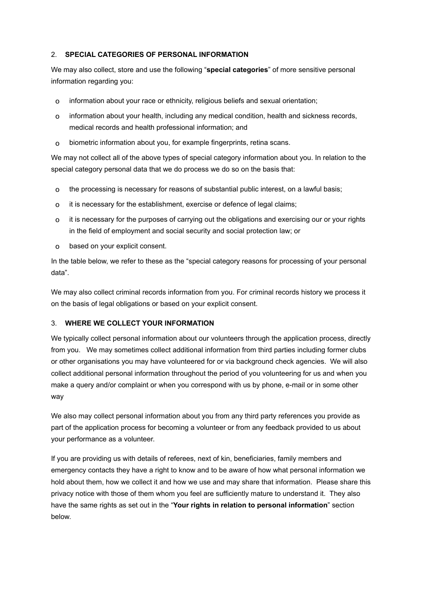## 2. **SPECIAL CATEGORIES OF PERSONAL INFORMATION**

We may also collect, store and use the following "**special categories**" of more sensitive personal information regarding you:

- o information about your race or ethnicity, religious beliefs and sexual orientation;
- o information about your health, including any medical condition, health and sickness records, medical records and health professional information; and
- o biometric information about you, for example fingerprints, retina scans.

We may not collect all of the above types of special category information about you. In relation to the special category personal data that we do process we do so on the basis that:

- o the processing is necessary for reasons of substantial public interest, on a lawful basis;
- o it is necessary for the establishment, exercise or defence of legal claims;
- o it is necessary for the purposes of carrying out the obligations and exercising our or your rights in the field of employment and social security and social protection law; or
- o based on your explicit consent.

In the table below, we refer to these as the "special category reasons for processing of your personal data".

We may also collect criminal records information from you. For criminal records history we process it on the basis of legal obligations or based on your explicit consent.

# 3. **WHERE WE COLLECT YOUR INFORMATION**

We typically collect personal information about our volunteers through the application process, directly from you. We may sometimes collect additional information from third parties including former clubs or other organisations you may have volunteered for or via background check agencies. We will also collect additional personal information throughout the period of you volunteering for us and when you make a query and/or complaint or when you correspond with us by phone, e-mail or in some other way

We also may collect personal information about you from any third party references you provide as part of the application process for becoming a volunteer or from any feedback provided to us about your performance as a volunteer.

If you are providing us with details of referees, next of kin, beneficiaries, family members and emergency contacts they have a right to know and to be aware of how what personal information we hold about them, how we collect it and how we use and may share that information. Please share this privacy notice with those of them whom you feel are sufficiently mature to understand it. They also have the same rights as set out in the "**Your rights in relation to personal information**" section below.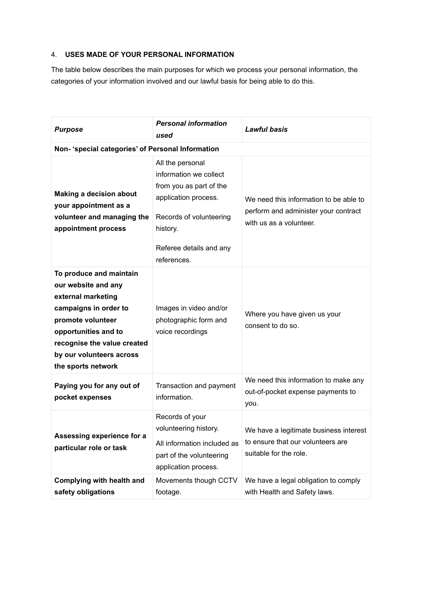## 4. **USES MADE OF YOUR PERSONAL INFORMATION**

The table below describes the main purposes for which we process your personal information, the categories of your information involved and our lawful basis for being able to do this.

| <b>Purpose</b>                                                                                                                                                                                                              | <b>Personal information</b><br>used                                                                                                                                            | <b>Lawful basis</b>                                                                                       |  |  |
|-----------------------------------------------------------------------------------------------------------------------------------------------------------------------------------------------------------------------------|--------------------------------------------------------------------------------------------------------------------------------------------------------------------------------|-----------------------------------------------------------------------------------------------------------|--|--|
| Non- 'special categories' of Personal Information                                                                                                                                                                           |                                                                                                                                                                                |                                                                                                           |  |  |
| <b>Making a decision about</b><br>your appointment as a<br>volunteer and managing the<br>appointment process                                                                                                                | All the personal<br>information we collect<br>from you as part of the<br>application process.<br>Records of volunteering<br>history.<br>Referee details and any<br>references. | We need this information to be able to<br>perform and administer your contract<br>with us as a volunteer. |  |  |
| To produce and maintain<br>our website and any<br>external marketing<br>campaigns in order to<br>promote volunteer<br>opportunities and to<br>recognise the value created<br>by our volunteers across<br>the sports network | Images in video and/or<br>photographic form and<br>voice recordings                                                                                                            | Where you have given us your<br>consent to do so.                                                         |  |  |
| Paying you for any out of<br>pocket expenses                                                                                                                                                                                | Transaction and payment<br>information.                                                                                                                                        | We need this information to make any<br>out-of-pocket expense payments to<br>you.                         |  |  |
| Assessing experience for a<br>particular role or task                                                                                                                                                                       | Records of your<br>volunteering history.<br>All information included as<br>part of the volunteering<br>application process.                                                    | We have a legitimate business interest<br>to ensure that our volunteers are<br>suitable for the role.     |  |  |
| Complying with health and<br>safety obligations                                                                                                                                                                             | Movements though CCTV<br>footage.                                                                                                                                              | We have a legal obligation to comply<br>with Health and Safety laws.                                      |  |  |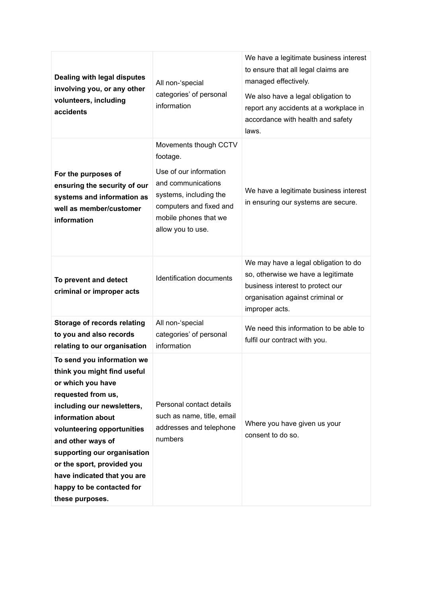| Dealing with legal disputes<br>involving you, or any other<br>volunteers, including<br>accidents                                                                                                                                                                                                                                                       | All non-'special<br>categories' of personal<br>information                                                                                                                           | We have a legitimate business interest<br>to ensure that all legal claims are<br>managed effectively.<br>We also have a legal obligation to<br>report any accidents at a workplace in<br>accordance with health and safety<br>laws. |
|--------------------------------------------------------------------------------------------------------------------------------------------------------------------------------------------------------------------------------------------------------------------------------------------------------------------------------------------------------|--------------------------------------------------------------------------------------------------------------------------------------------------------------------------------------|-------------------------------------------------------------------------------------------------------------------------------------------------------------------------------------------------------------------------------------|
| For the purposes of<br>ensuring the security of our<br>systems and information as<br>well as member/customer<br>information                                                                                                                                                                                                                            | Movements though CCTV<br>footage.<br>Use of our information<br>and communications<br>systems, including the<br>computers and fixed and<br>mobile phones that we<br>allow you to use. | We have a legitimate business interest<br>in ensuring our systems are secure.                                                                                                                                                       |
| To prevent and detect<br>criminal or improper acts                                                                                                                                                                                                                                                                                                     | Identification documents                                                                                                                                                             | We may have a legal obligation to do<br>so, otherwise we have a legitimate<br>business interest to protect our<br>organisation against criminal or<br>improper acts.                                                                |
| <b>Storage of records relating</b><br>to you and also records<br>relating to our organisation                                                                                                                                                                                                                                                          | All non-'special<br>categories' of personal<br>information                                                                                                                           | We need this information to be able to<br>fulfil our contract with you.                                                                                                                                                             |
| To send you information we<br>think you might find useful<br>or which you have<br>requested from us,<br>including our newsletters,<br>information about<br>volunteering opportunities<br>and other ways of<br>supporting our organisation<br>or the sport, provided you<br>have indicated that you are<br>happy to be contacted for<br>these purposes. | Personal contact details<br>such as name, title, email<br>addresses and telephone<br>numbers                                                                                         | Where you have given us your<br>consent to do so.                                                                                                                                                                                   |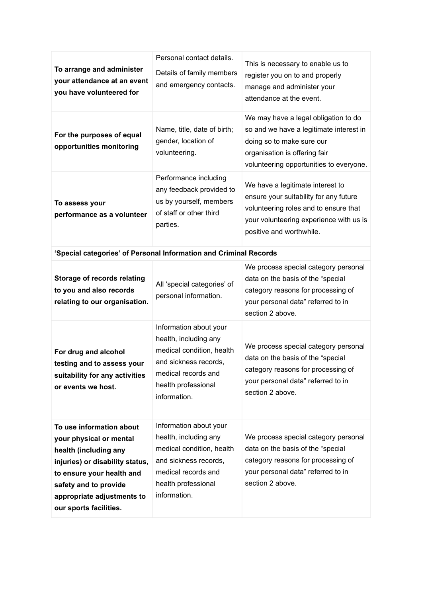| To arrange and administer<br>your attendance at an event<br>you have volunteered for                                                                                                                                          | Personal contact details.<br>Details of family members<br>and emergency contacts.                                                                                   | This is necessary to enable us to<br>register you on to and properly<br>manage and administer your<br>attendance at the event.                                                             |  |  |
|-------------------------------------------------------------------------------------------------------------------------------------------------------------------------------------------------------------------------------|---------------------------------------------------------------------------------------------------------------------------------------------------------------------|--------------------------------------------------------------------------------------------------------------------------------------------------------------------------------------------|--|--|
| For the purposes of equal<br>opportunities monitoring                                                                                                                                                                         | Name, title, date of birth;<br>gender, location of<br>volunteering.                                                                                                 | We may have a legal obligation to do<br>so and we have a legitimate interest in<br>doing so to make sure our<br>organisation is offering fair<br>volunteering opportunities to everyone.   |  |  |
| To assess your<br>performance as a volunteer                                                                                                                                                                                  | Performance including<br>any feedback provided to<br>us by yourself, members<br>of staff or other third<br>parties.                                                 | We have a legitimate interest to<br>ensure your suitability for any future<br>volunteering roles and to ensure that<br>your volunteering experience with us is<br>positive and worthwhile. |  |  |
| 'Special categories' of Personal Information and Criminal Records                                                                                                                                                             |                                                                                                                                                                     |                                                                                                                                                                                            |  |  |
| Storage of records relating<br>to you and also records<br>relating to our organisation.                                                                                                                                       | All 'special categories' of<br>personal information.                                                                                                                | We process special category personal<br>data on the basis of the "special<br>category reasons for processing of<br>your personal data" referred to in<br>section 2 above.                  |  |  |
| For drug and alcohol<br>testing and to assess your<br>suitability for any activities<br>or events we host.                                                                                                                    | Information about your<br>health, including any<br>medical condition, health<br>and sickness records,<br>medical records and<br>health professional<br>information. | We process special category personal<br>data on the basis of the "special<br>category reasons for processing of<br>your personal data" referred to in<br>section 2 above.                  |  |  |
| To use information about<br>your physical or mental<br>health (including any<br>injuries) or disability status,<br>to ensure your health and<br>safety and to provide<br>appropriate adjustments to<br>our sports facilities. | Information about your<br>health, including any<br>medical condition, health<br>and sickness records,<br>medical records and<br>health professional<br>information. | We process special category personal<br>data on the basis of the "special<br>category reasons for processing of<br>your personal data" referred to in<br>section 2 above.                  |  |  |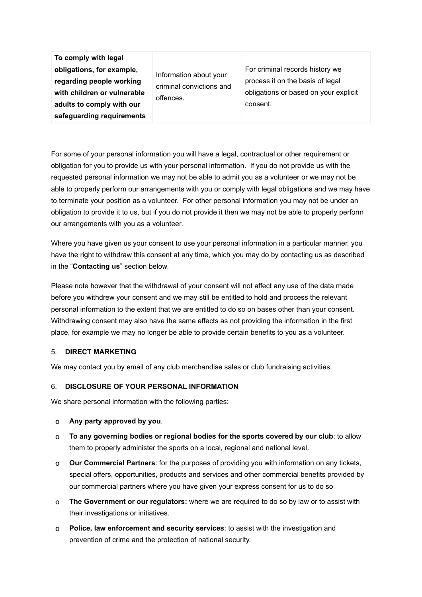**To comply with legal obligations, for example, regarding people working with children or vulnerable adults to comply with our safeguarding requirements** 

Information about your criminal convictions and offences.

For criminal records history we process it on the basis of legal obligations or based on your explicit consent.

For some of your personal information you will have a legal, contractual or other requirement or obligation for you to provide us with your personal information. If you do not provide us with the requested personal information we may not be able to admit you as a volunteer or we may not be able to properly perform our arrangements with you or comply with legal obligations and we may have to terminate your position as a volunteer. For other personal information you may not be under an obligation to provide it to us, but if you do not provide it then we may not be able to properly perform our arrangements with you as a volunteer.

Where you have given us your consent to use your personal information in a particular manner, you have the right to withdraw this consent at any time, which you may do by contacting us as described in the "**Contacting us**" section below.

Please note however that the withdrawal of your consent will not affect any use of the data made before you withdrew your consent and we may still be entitled to hold and process the relevant personal information to the extent that we are entitled to do so on bases other than your consent. Withdrawing consent may also have the same effects as not providing the information in the first place, for example we may no longer be able to provide certain benefits to you as a volunteer.

#### 5. **DIRECT MARKETING**

We may contact you by email of any club merchandise sales or club fundraising activities.

#### 6. **DISCLOSURE OF YOUR PERSONAL INFORMATION**

We share personal information with the following parties:

- o **Any party approved by you**.
- o **To any governing bodies or regional bodies for the sports covered by our club**: to allow them to properly administer the sports on a local, regional and national level.
- o **Our Commercial Partners**: for the purposes of providing you with information on any tickets, special offers, opportunities, products and services and other commercial benefits provided by our commercial partners where you have given your express consent for us to do so
- o **The Government or our regulators:** where we are required to do so by law or to assist with their investigations or initiatives.
- o **Police, law enforcement and security services**: to assist with the investigation and prevention of crime and the protection of national security.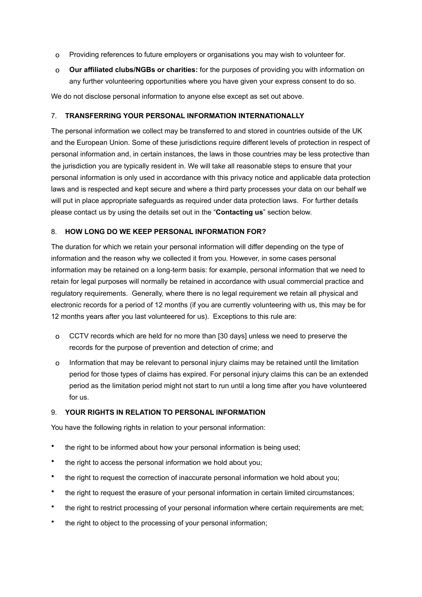- o Providing references to future employers or organisations you may wish to volunteer for.
- o **Our affiliated clubs/NGBs or charities:** for the purposes of providing you with information on any further volunteering opportunities where you have given your express consent to do so.

We do not disclose personal information to anyone else except as set out above.

## 7. **TRANSFERRING YOUR PERSONAL INFORMATION INTERNATIONALLY**

The personal information we collect may be transferred to and stored in countries outside of the UK and the European Union. Some of these jurisdictions require different levels of protection in respect of personal information and, in certain instances, the laws in those countries may be less protective than the jurisdiction you are typically resident in. We will take all reasonable steps to ensure that your personal information is only used in accordance with this privacy notice and applicable data protection laws and is respected and kept secure and where a third party processes your data on our behalf we will put in place appropriate safeguards as required under data protection laws. For further details please contact us by using the details set out in the "**Contacting us**" section below.

# 8. **HOW LONG DO WE KEEP PERSONAL INFORMATION FOR?**

The duration for which we retain your personal information will differ depending on the type of information and the reason why we collected it from you. However, in some cases personal information may be retained on a long-term basis: for example, personal information that we need to retain for legal purposes will normally be retained in accordance with usual commercial practice and regulatory requirements. Generally, where there is no legal requirement we retain all physical and electronic records for a period of 12 months (if you are currently volunteering with us, this may be for 12 months years after you last volunteered for us). Exceptions to this rule are:

- o CCTV records which are held for no more than [30 days] unless we need to preserve the records for the purpose of prevention and detection of crime; and
- o Information that may be relevant to personal injury claims may be retained until the limitation period for those types of claims has expired. For personal injury claims this can be an extended period as the limitation period might not start to run until a long time after you have volunteered for us.

## 9. **YOUR RIGHTS IN RELATION TO PERSONAL INFORMATION**

You have the following rights in relation to your personal information:

- the right to be informed about how your personal information is being used;
- the right to access the personal information we hold about you:
- the right to request the correction of inaccurate personal information we hold about you;
- the right to request the erasure of your personal information in certain limited circumstances;
- the right to restrict processing of your personal information where certain requirements are met;
- the right to object to the processing of your personal information;